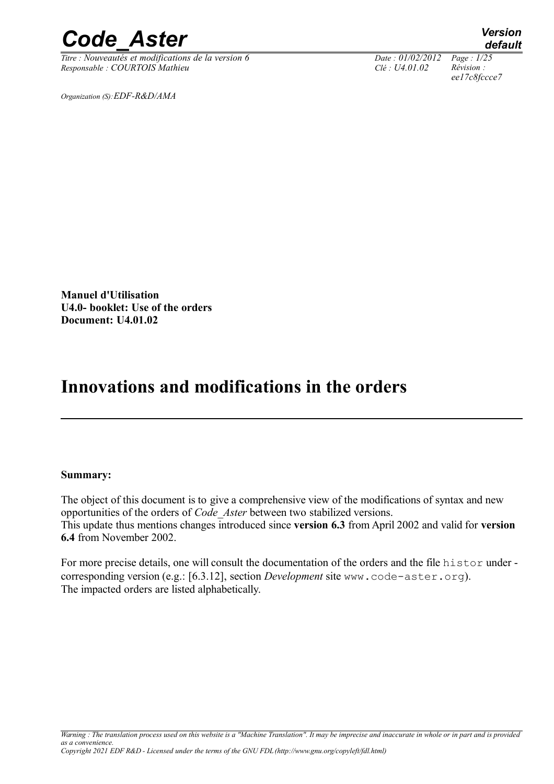*Titre : Nouveautés et modifications de la version 6 Date : 01/02/2012 Page : 1/25 Responsable : COURTOIS Mathieu Clé : U4.01.02 Révision :* 

*Organization (S):EDF-R&D/AMA*

*default ee17c8fccce7*

**Manuel d'Utilisation U4.0- booklet: Use of the orders Document: U4.01.02**

### **Innovations and modifications in the orders**

#### **Summary:**

The object of this document is to give a comprehensive view of the modifications of syntax and new opportunities of the orders of *Code\_Aster* between two stabilized versions. This update thus mentions changes introduced since **version 6.3** from April 2002 and valid for **version 6.4** from November 2002.

For more precise details, one will consult the documentation of the orders and the file histor under corresponding version (e.g.: [6.3.12], section *Development* site www.code-aster.org). The impacted orders are listed alphabetically.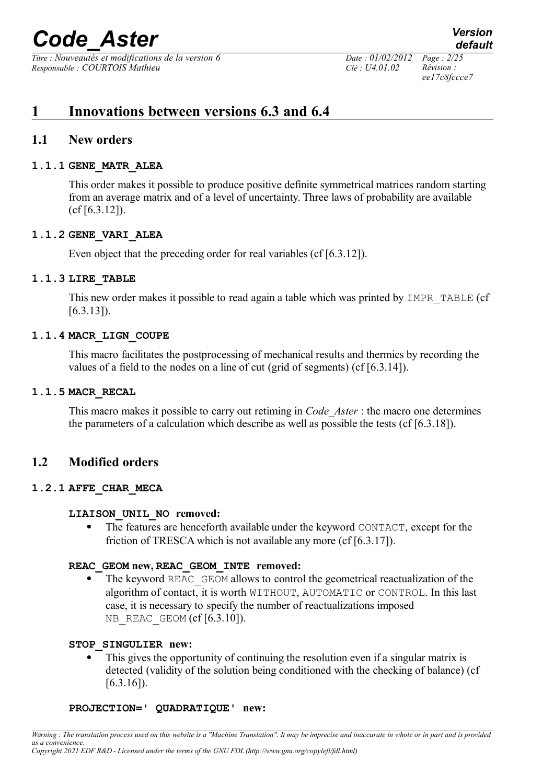*Titre : Nouveautés et modifications de la version 6 Date : 01/02/2012 Page : 2/25 Responsable : COURTOIS Mathieu Clé : U4.01.02 Révision :* 

*ee17c8fccce7*

### **1 Innovations between versions 6.3 and 6.4**

#### **1.1 New orders**

#### **1.1.1 GENE\_MATR\_ALEA**

This order makes it possible to produce positive definite symmetrical matrices random starting from an average matrix and of a level of uncertainty. Three laws of probability are available (cf [6.3.12]).

#### **1.1.2 GENE\_VARI\_ALEA**

Even object that the preceding order for real variables (cf [6.3.12]).

#### **1.1.3 LIRE\_TABLE**

This new order makes it possible to read again a table which was printed by IMPR TABLE (cf [6.3.13]).

#### **1.1.4 MACR\_LIGN\_COUPE**

This macro facilitates the postprocessing of mechanical results and thermics by recording the values of a field to the nodes on a line of cut (grid of segments) (cf [6.3.14]).

#### **1.1.5 MACR\_RECAL**

This macro makes it possible to carry out retiming in *Code\_Aster* : the macro one determines the parameters of a calculation which describe as well as possible the tests (cf  $[6.3.18]$ ).

#### **1.2 Modified orders**

#### **1.2.1 AFFE\_CHAR\_MECA**

#### **LIAISON\_UNIL\_NO removed:**

 The features are henceforth available under the keyword CONTACT, except for the friction of TRESCA which is not available any more (cf [6.3.17]).

#### **REAC\_GEOM new, REAC\_GEOM\_INTE removed:**

 The keyword REAC\_GEOM allows to control the geometrical reactualization of the algorithm of contact, it is worth WITHOUT, AUTOMATIC or CONTROL. In this last case, it is necessary to specify the number of reactualizations imposed NB REAC GEOM  $(cf[6.3.10])$ .

#### **STOP\_SINGULIER new:**

 This gives the opportunity of continuing the resolution even if a singular matrix is detected (validity of the solution being conditioned with the checking of balance) (cf  $[6.3.16]$ ).

#### **PROJECTION=' QUADRATIQUE' new:**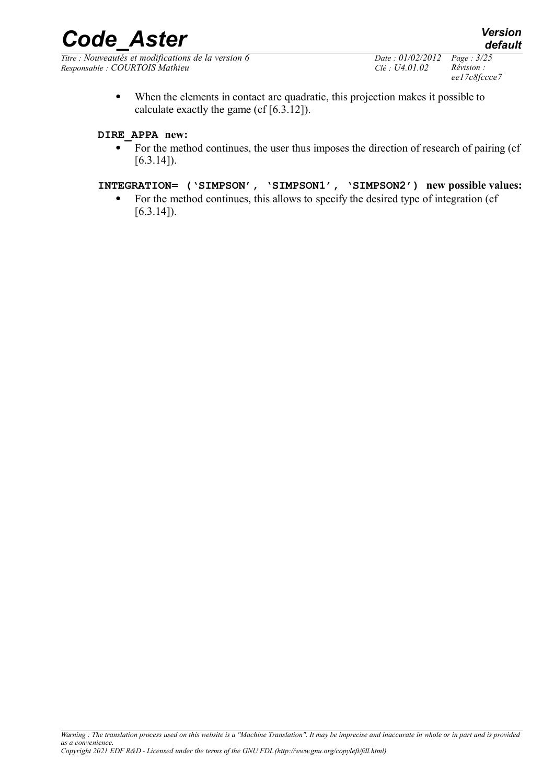*Titre : Nouveautés et modifications de la version 6 Date : 01/02/2012 Page : 3/25 Responsable : COURTOIS Mathieu Clé : U4.01.02 Révision :* 

*default*

 When the elements in contact are quadratic, this projection makes it possible to calculate exactly the game (cf [6.3.12]).

#### **DIRE\_APPA new:**

• For the method continues, the user thus imposes the direction of research of pairing (cf  $[6.3.14]$ ).

#### **INTEGRATION= ('SIMPSON', 'SIMPSON1', 'SIMPSON2') new possible values:**

• For the method continues, this allows to specify the desired type of integration (cf  $[6.3.14]$ ).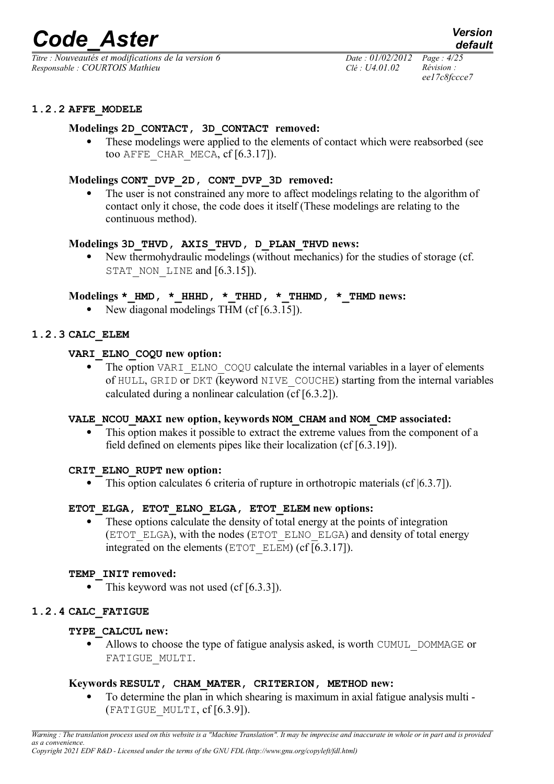*Titre : Nouveautés et modifications de la version 6 Date : 01/02/2012 Page : 4/25 Responsable : COURTOIS Mathieu Clé : U4.01.02 Révision :* 

*ee17c8fccce7*

#### **1.2.2 AFFE\_MODELE**

#### **Modelings 2D\_CONTACT, 3D\_CONTACT removed:**

 These modelings were applied to the elements of contact which were reabsorbed (see too AFFE\_CHAR\_MECA,  $cf$   $[6.3.17]$ ).

#### **Modelings CONT\_DVP\_2D, CONT\_DVP\_3D removed:**

The user is not constrained any more to affect modelings relating to the algorithm of contact only it chose, the code does it itself (These modelings are relating to the continuous method).

#### **Modelings 3D\_THVD, AXIS\_THVD, D\_PLAN\_THVD news:**

 New thermohydraulic modelings (without mechanics) for the studies of storage (cf. STAT\_NON\_LINE and [6.3.15]).

#### **Modelings \*\_HMD, \*\_HHHD, \*\_THHD, \*\_THHMD, \*\_THMD news:**

New diagonal modelings THM (cf [6.3.15]).

#### **1.2.3 CALC\_ELEM**

#### **VARI\_ELNO\_COQU new option:**

The option VARI ELNO COQU calculate the internal variables in a layer of elements of HULL, GRID or DKT (keyword NIVE\_COUCHE) starting from the internal variables calculated during a nonlinear calculation (cf [6.3.2]).

#### **VALE\_NCOU\_MAXI new option, keywords NOM\_CHAM and NOM\_CMP associated:**

• This option makes it possible to extract the extreme values from the component of a field defined on elements pipes like their localization (cf [6.3.19]).

#### **CRIT\_ELNO\_RUPT new option:**

• This option calculates 6 criteria of rupture in orthotropic materials (cf  $(6.3.7)$ ).

#### **ETOT\_ELGA, ETOT\_ELNO\_ELGA, ETOT\_ELEM new options:**

 These options calculate the density of total energy at the points of integration (ETOT\_ELGA), with the nodes (ETOT\_ELNO\_ELGA) and density of total energy integrated on the elements (ETOT\_ELEM) (cf [6.3.17]).

#### **TEMP\_INIT removed:**

 $\bullet$  This keyword was not used (cf [6.3.3]).

#### **1.2.4 CALC\_FATIGUE**

#### **TYPE\_CALCUL new:**

• Allows to choose the type of fatigue analysis asked, is worth CUMUL DOMMAGE or FATIGUE\_MULTI.

#### **Keywords RESULT, CHAM\_MATER, CRITERION, METHOD new:**

 To determine the plan in which shearing is maximum in axial fatigue analysis multi -  $(FATIGUE$  MULTI,  $cf [6.3.9]$ ).

*Warning : The translation process used on this website is a "Machine Translation". It may be imprecise and inaccurate in whole or in part and is provided as a convenience. Copyright 2021 EDF R&D - Licensed under the terms of the GNU FDL (http://www.gnu.org/copyleft/fdl.html)*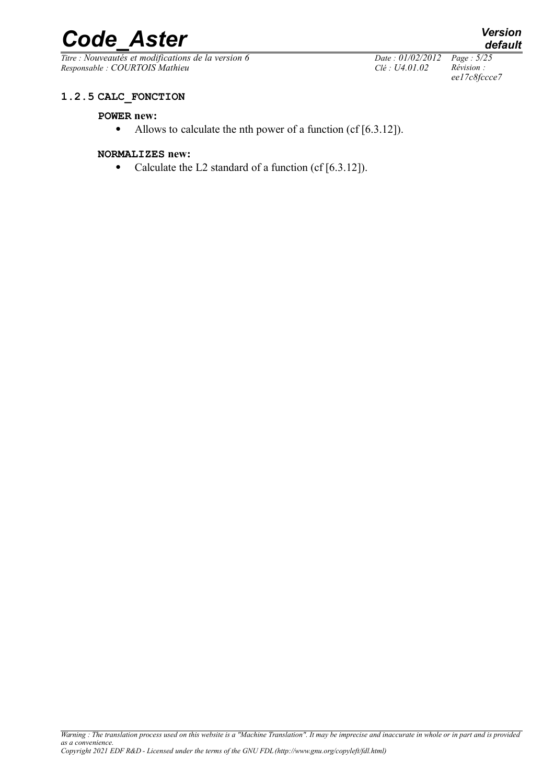# **Code\_Aster** *Version*<br> *Titre* : Nouveautés et modifications de la version 6 *Date* : 01/02/2012 Page : 5/25

*Titre : Nouveautés et modifications de la version 6 Date : 01/02/2012 Page : 5/25 Responsable : COURTOIS Mathieu Clé : U4.01.02 Révision :* 

*ee17c8fccce7*

#### **1.2.5 CALC\_FONCTION**

#### **POWER new:**

• Allows to calculate the nth power of a function (cf [6.3.12]).

#### **NORMALIZES new:**

• Calculate the L2 standard of a function (cf [6.3.12]).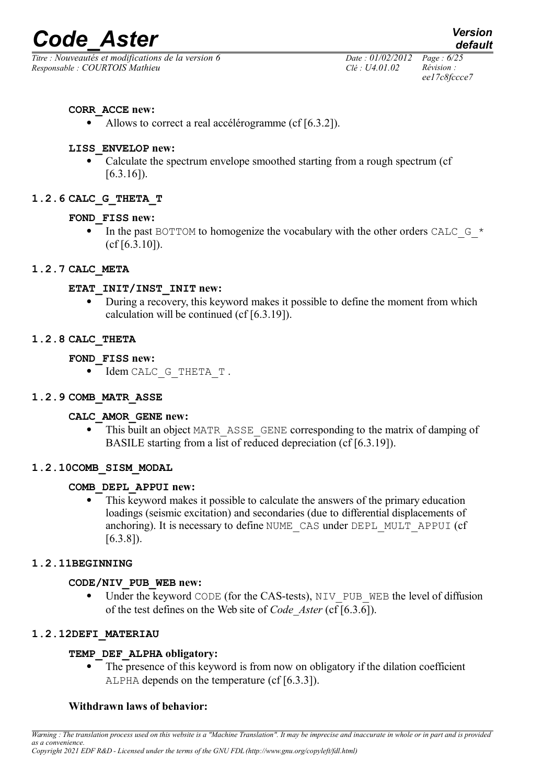*Titre : Nouveautés et modifications de la version 6 Date : 01/02/2012 Page : 6/25 Responsable : COURTOIS Mathieu Clé : U4.01.02 Révision :* 

*default*

#### **CORR\_ACCE new:**

• Allows to correct a real accélérogramme (cf [6.3.2]).

#### **LISS\_ENVELOP new:**

 Calculate the spectrum envelope smoothed starting from a rough spectrum (cf  $[6.3.16]$ .

#### **1.2.6 CALC\_G\_THETA\_T**

#### **FOND\_FISS new:**

In the past BOTTOM to homogenize the vocabulary with the other orders CALC  $\,$  G  $\,$   $\,$   $\,$   $\,$ (cf [6.3.10]).

#### **1.2.7 CALC\_META**

#### **ETAT\_INIT/INST\_INIT new:**

During a recovery, this keyword makes it possible to define the moment from which calculation will be continued (cf [6.3.19]).

#### **1.2.8 CALC\_THETA**

- **FOND\_FISS new:**
	- $\bullet$  Idem CALC G THETA T.

#### **1.2.9 COMB\_MATR\_ASSE**

#### **CALC\_AMOR\_GENE new:**

 This built an object MATR\_ASSE\_GENE corresponding to the matrix of damping of BASILE starting from a list of reduced depreciation (cf [6.3.19]).

#### **1.2.10COMB\_SISM\_MODAL**

#### **COMB\_DEPL\_APPUI new:**

 This keyword makes it possible to calculate the answers of the primary education loadings (seismic excitation) and secondaries (due to differential displacements of anchoring). It is necessary to define NUME\_CAS under DEPL\_MULT\_APPUI (cf [6.3.8]).

#### **1.2.11BEGINNING**

#### **CODE/NIV\_PUB\_WEB new:**

Under the keyword CODE (for the CAS-tests), NIV PUB\_WEB the level of diffusion of the test defines on the Web site of *Code\_Aster* (cf [6.3.6]).

#### **1.2.12DEFI\_MATERIAU**

#### **TEMP\_DEF\_ALPHA obligatory:**

 The presence of this keyword is from now on obligatory if the dilation coefficient ALPHA depends on the temperature (cf [6.3.3]).

#### **Withdrawn laws of behavior:**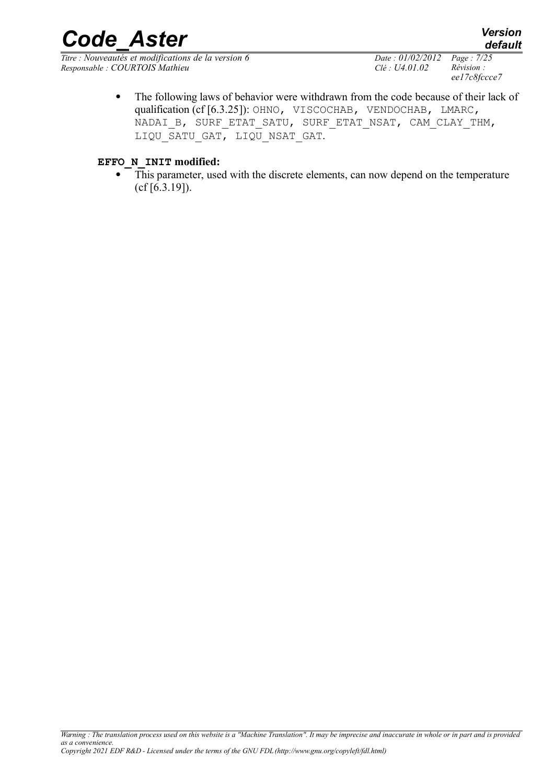*Titre : Nouveautés et modifications de la version 6 Date : 01/02/2012 Page : 7/25 Responsable : COURTOIS Mathieu Clé : U4.01.02 Révision :* 

*ee17c8fccce7*

• The following laws of behavior were withdrawn from the code because of their lack of qualification (cf [6.3.25]): OHNO, VISCOCHAB, VENDOCHAB, LMARC, NADAI\_B, SURF\_ETAT\_SATU, SURF\_ETAT\_NSAT, CAM\_CLAY\_THM, LIQU SATU GAT, LIQU NSAT GAT.

#### **EFFO\_N\_INIT modified:**

 This parameter, used with the discrete elements, can now depend on the temperature (cf [6.3.19]).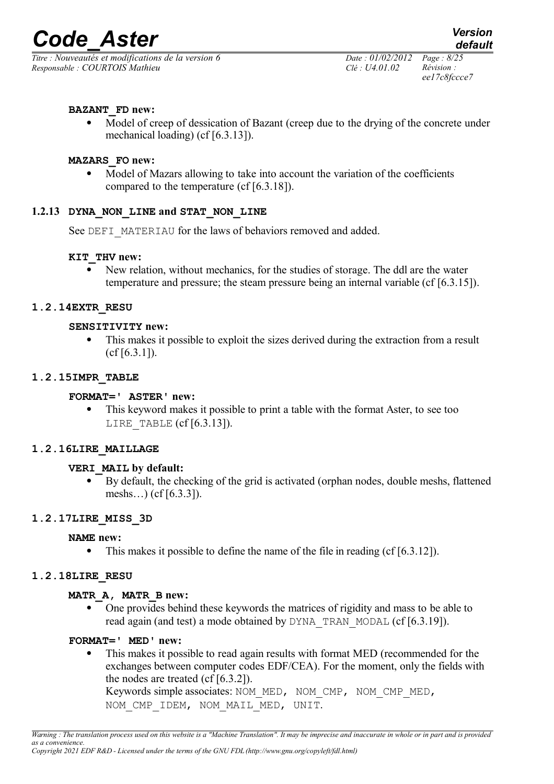*Titre : Nouveautés et modifications de la version 6 Date : 01/02/2012 Page : 8/25 Responsable : COURTOIS Mathieu Clé : U4.01.02 Révision :* 

#### **BAZANT\_FD new:**

• Model of creep of dessication of Bazant (creep due to the drying of the concrete under mechanical loading) (cf [6.3.13]).

#### **MAZARS\_FO new:**

• Model of Mazars allowing to take into account the variation of the coefficients compared to the temperature (cf [6.3.18]).

#### **1.2.13 DYNA\_NON\_LINE and STAT\_NON\_LINE**

See DEFI\_MATERIAU for the laws of behaviors removed and added.

#### **KIT\_THV new:**

 New relation, without mechanics, for the studies of storage. The ddl are the water temperature and pressure; the steam pressure being an internal variable (cf [6.3.15]).

#### **1.2.14EXTR\_RESU**

#### **SENSITIVITY new:**

 This makes it possible to exploit the sizes derived during the extraction from a result  $(cf [6.3.1]).$ 

#### **1.2.15IMPR\_TABLE**

#### **FORMAT=' ASTER' new:**

 This keyword makes it possible to print a table with the format Aster, to see too LIRE TABLE  $(cf[6.3.13])$ .

#### **1.2.16LIRE\_MAILLAGE**

#### **VERI\_MAIL by default:**

 By default, the checking of the grid is activated (orphan nodes, double meshs, flattened meshs…) (cf [6.3.3]).

#### **1.2.17LIRE\_MISS\_3D**

#### **NAME new:**

• This makes it possible to define the name of the file in reading (cf [6.3.12]).

#### **1.2.18LIRE\_RESU**

#### **MATR\_A, MATR\_B new:**

 One provides behind these keywords the matrices of rigidity and mass to be able to read again (and test) a mode obtained by DYNA\_TRAN\_MODAL (cf [6.3.19]).

#### **FORMAT=' MED' new:**

 This makes it possible to read again results with format MED (recommended for the exchanges between computer codes EDF/CEA). For the moment, only the fields with the nodes are treated (cf [6.3.2]). Keywords simple associates: NOM\_MED, NOM\_CMP, NOM\_CMP\_MED,

NOM CMP IDEM, NOM MAIL MED, UNIT.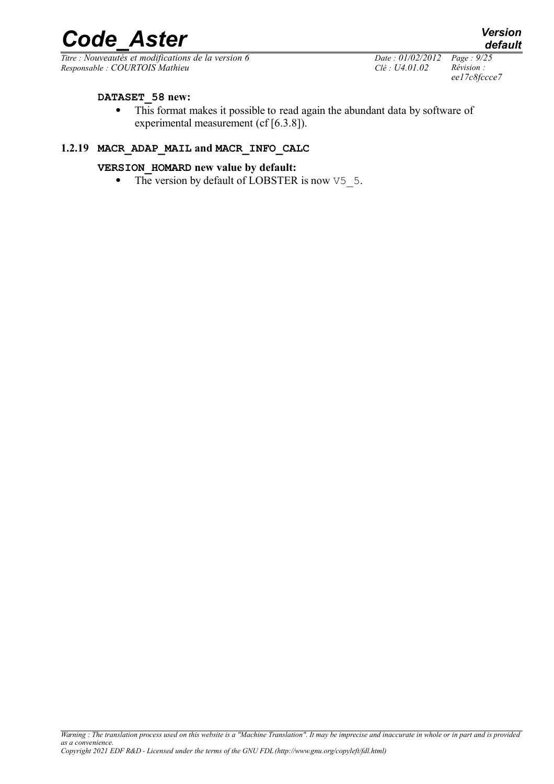*Titre : Nouveautés et modifications de la version 6 Date : 01/02/2012 Page : 9/25 Responsable : COURTOIS Mathieu Clé : U4.01.02 Révision :* 

*ee17c8fccce7*

#### **DATASET\_58 new:**

 This format makes it possible to read again the abundant data by software of experimental measurement (cf [6.3.8]).

#### **1.2.19 MACR\_ADAP\_MAIL and MACR\_INFO\_CALC**

#### **VERSION\_HOMARD new value by default:**

• The version by default of LOBSTER is now  $\sqrt{5}$  5.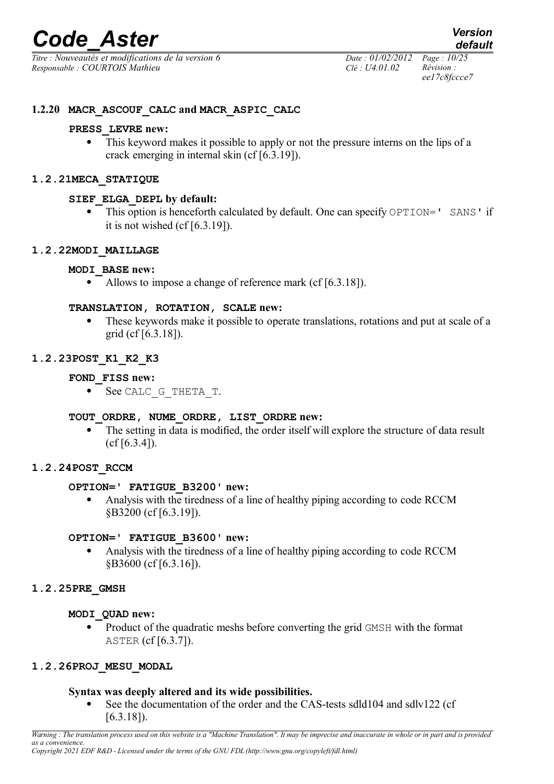*Titre : Nouveautés et modifications de la version 6 Date : 01/02/2012 Page : 10/25 Responsable : COURTOIS Mathieu Clé : U4.01.02 Révision :* 

*ee17c8fccce7*

#### **1.2.20 MACR\_ASCOUF\_CALC and MACR\_ASPIC\_CALC**

#### **PRESS\_LEVRE new:**

 This keyword makes it possible to apply or not the pressure interns on the lips of a crack emerging in internal skin (cf [6.3.19]).

#### **1.2.21MECA\_STATIQUE**

#### **SIEF\_ELGA\_DEPL by default:**

• This option is henceforth calculated by default. One can specify OPTION=' SANS' if it is not wished  $(cf[6.3.19])$ .

#### **1.2.22MODI\_MAILLAGE**

#### **MODI\_BASE new:**

• Allows to impose a change of reference mark (cf [6.3.18]).

#### **TRANSLATION, ROTATION, SCALE new:**

• These keywords make it possible to operate translations, rotations and put at scale of a grid (cf [6.3.18]).

#### **1.2.23POST\_K1\_K2\_K3**

#### **FOND\_FISS new:**

• See CALC G THETA T.

#### **TOUT\_ORDRE, NUME\_ORDRE, LIST\_ORDRE new:**

 The setting in data is modified, the order itself will explore the structure of data result  $(cf [6.3.4]).$ 

#### **1.2.24POST\_RCCM**

#### **OPTION=' FATIGUE\_B3200' new:**

 Analysis with the tiredness of a line of healthy piping according to code RCCM §B3200 (cf [6.3.19]).

#### **OPTION=' FATIGUE\_B3600' new:**

 Analysis with the tiredness of a line of healthy piping according to code RCCM §B3600 (cf [6.3.16]).

#### **1.2.25PRE\_GMSH**

#### **MODI\_QUAD new:**

 Product of the quadratic meshs before converting the grid GMSH with the format ASTER (cf [6.3.7]).

#### **1.2.26PROJ\_MESU\_MODAL**

#### **Syntax was deeply altered and its wide possibilities.**

 See the documentation of the order and the CAS-tests sdld104 and sdlv122 (cf [6.3.18]).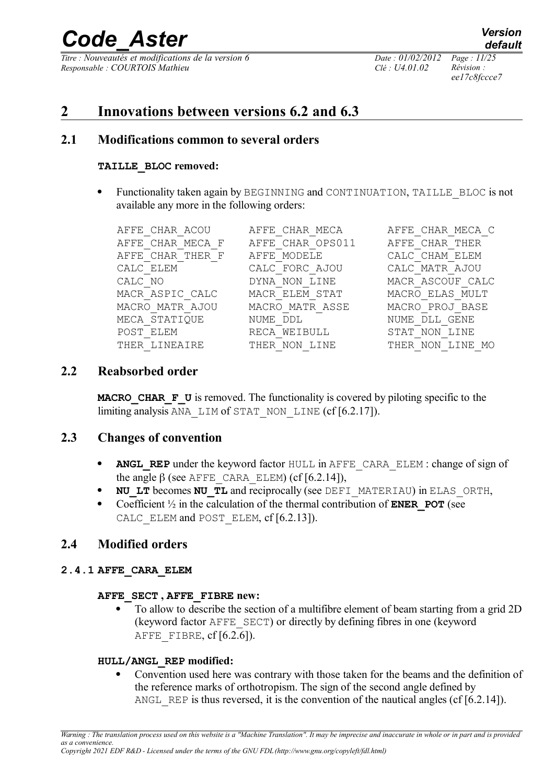*Titre : Nouveautés et modifications de la version 6 Date : 01/02/2012 Page : 11/25 Responsable : COURTOIS Mathieu Clé : U4.01.02 Révision :* 

*ee17c8fccce7*

*default*

### **2 Innovations between versions 6.2 and 6.3**

#### **2.1 Modifications common to several orders**

#### **TAILLE\_BLOC removed:**

• Functionality taken again by BEGINNING and CONTINUATION, TAILLE BLOC is not available any more in the following orders:

| AFFE CHAR ACOU     | CHAR MECA<br>AFFE | CHAR MECA<br>AFFE            |
|--------------------|-------------------|------------------------------|
| AFFE CHAR MECA F   | AFFE CHAR OPS011  | CHAR THER<br>AFFF.           |
| AFFE CHAR THER F   | AFFE MODELE       | CALC CHAM ELEM               |
| CALC ELEM          | CALC FORC AJOU    | CALC MATR AJOU               |
| CALC NO            | LINE<br>DYNA NON  | MACR ASCOUF CALC             |
| MACR ASPIC CALC    | MACR ELEM STAT    | MACRO ELAS MULT              |
| MATR AJOU<br>MACRO | MACRO MATR ASSE   | MACRO PROJ BASE              |
| MECA STATIQUE      | NUME<br>DDT.      | GENE<br>NUME<br><b>DLL</b>   |
| POST ELEM          | WEIBULL<br>RECA   | NON LINE<br>STAT             |
| THER LINEATRE      | LTNE<br>THER.     | T.TNE.<br>THER<br>MO.<br>NON |

#### **2.2 Reabsorbed order**

**MACRO** CHAR **F** U is removed. The functionality is covered by piloting specific to the limiting analysis ANA\_LIM of STAT\_NON\_LINE (cf [6.2.17]).

#### **2.3 Changes of convention**

- **ANGL REP** under the keyword factor HULL in AFFE CARA ELEM : change of sign of the angle  $\beta$  (see AFFE\_CARA\_ELEM) (cf [6.2.14]),
- **NU LT** becomes **NU TL** and reciprocally (see DEFI\_MATERIAU) in ELAS\_ORTH,
- Coefficient  $\frac{1}{2}$  in the calculation of the thermal contribution of **ENER** POT (see CALC ELEM and POST ELEM, cf [6.2.13]).

#### **2.4 Modified orders**

#### **2.4.1 AFFE\_CARA\_ELEM**

#### **AFFE\_SECT , AFFE\_FIBRE new:**

 To allow to describe the section of a multifibre element of beam starting from a grid 2D (keyword factor AFFE\_SECT) or directly by defining fibres in one (keyword AFFE FIBRE,  $cf [6.2.6]$ ).

#### **HULL/ANGL\_REP modified:**

 Convention used here was contrary with those taken for the beams and the definition of the reference marks of orthotropism. The sign of the second angle defined by ANGL REP is thus reversed, it is the convention of the nautical angles (cf  $[6.2.14]$ ).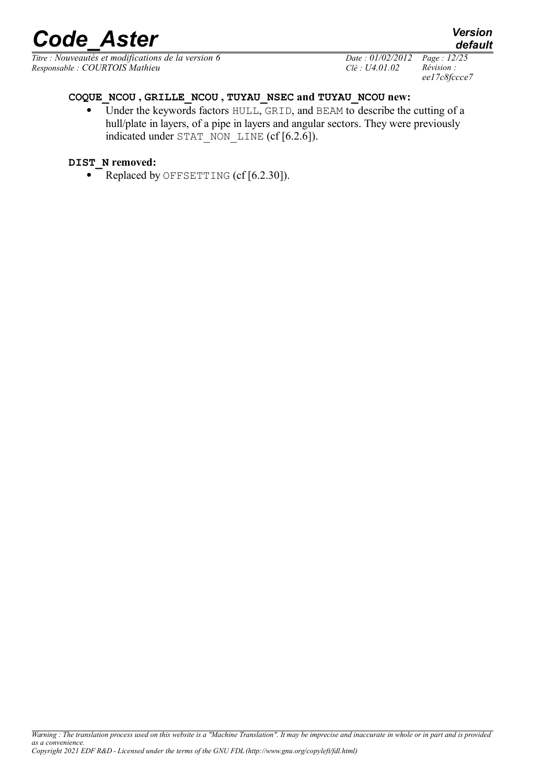*Titre : Nouveautés et modifications de la version 6 Date : 01/02/2012 Page : 12/25 Responsable : COURTOIS Mathieu Clé : U4.01.02 Révision :* 

*ee17c8fccce7*

#### **COQUE\_NCOU , GRILLE\_NCOU , TUYAU\_NSEC and TUYAU\_NCOU new:**

• Under the keywords factors HULL, GRID, and BEAM to describe the cutting of a hull/plate in layers, of a pipe in layers and angular sectors. They were previously indicated under STAT\_NON\_LINE (cf [6.2.6]).

#### **DIST\_N removed:**

• Replaced by OFFSETTING (cf [6.2.30]).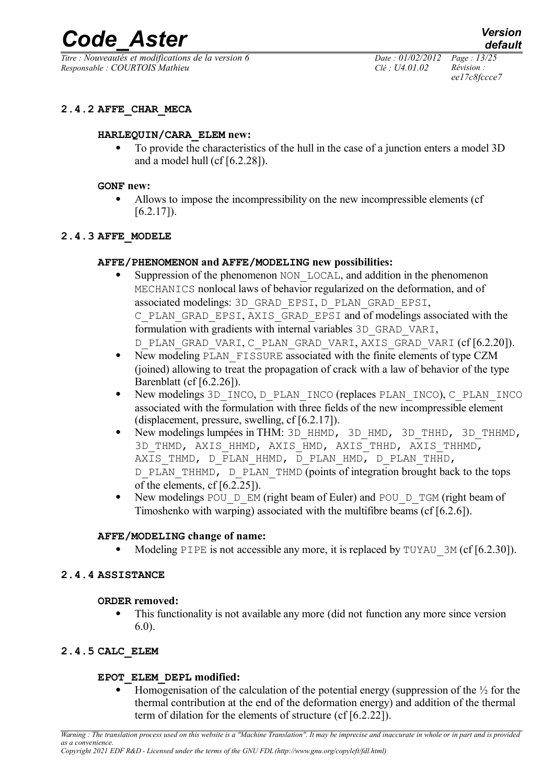*Titre : Nouveautés et modifications de la version 6 Date : 01/02/2012 Page : 13/25 Responsable : COURTOIS Mathieu Clé : U4.01.02 Révision :* 

*ee17c8fccce7*

#### **2.4.2 AFFE\_CHAR\_MECA**

#### **HARLEQUIN/CARA\_ELEM new:**

 To provide the characteristics of the hull in the case of a junction enters a model 3D and a model hull (cf [6.2.28]).

#### **GONF new:**

 Allows to impose the incompressibility on the new incompressible elements (cf [6.2.17]).

#### **2.4.3 AFFE\_MODELE**

#### **AFFE/PHENOMENON and AFFE/MODELING new possibilities:**

- Suppression of the phenomenon NON LOCAL, and addition in the phenomenon MECHANICS nonlocal laws of behavior regularized on the deformation, and of associated modelings: 3D\_GRAD\_EPSI, D\_PLAN\_GRAD\_EPSI, C\_PLAN\_GRAD\_EPSI, AXIS\_GRAD\_EPSI and of modelings associated with the formulation with gradients with internal variables 3D\_GRAD\_VARI, D\_PLAN\_GRAD\_VARI, C\_PLAN\_GRAD\_VARI, AXIS\_GRAD\_VARI (cf [6.2.20]).
- New modeling PLAN FISSURE associated with the finite elements of type CZM (joined) allowing to treat the propagation of crack with a law of behavior of the type Barenblatt (cf [6.2.26]).
- New modelings 3D\_INCO, D\_PLAN\_INCO (replaces PLAN\_INCO), C\_PLAN\_INCO associated with the formulation with three fields of the new incompressible element (displacement, pressure, swelling, cf [6.2.17]).
- New modelings lumpées in THM: 3D\_HHMD, 3D\_HMD, 3D\_THHD, 3D\_THHMD, 3D\_THMD, AXIS\_HHMD, AXIS\_HMD, AXIS\_THHD, AXIS\_THHMD, AXIS THMD, D\_PLAN\_HHMD, D\_PLAN\_HMD, D\_PLAN\_THHD, D\_PLAN\_THHMD, D\_PLAN\_THMD (points of integration brought back to the tops of the elements, cf [6.2.25]).
- New modelings POU  $D$  EM (right beam of Euler) and POU  $D$  TGM (right beam of Timoshenko with warping) associated with the multifibre beams (cf [6.2.6]).

#### **AFFE/MODELING change of name:**

Modeling PIPE is not accessible any more, it is replaced by TUYAU 3M (cf [6.2.30]).

#### **2.4.4 ASSISTANCE**

#### **ORDER removed:**

 This functionality is not available any more (did not function any more since version 6.0).

#### **2.4.5 CALC\_ELEM**

#### **EPOT\_ELEM\_DEPL modified:**

Homogenisation of the calculation of the potential energy (suppression of the  $\frac{1}{2}$  for the thermal contribution at the end of the deformation energy) and addition of the thermal term of dilation for the elements of structure (cf [6.2.22]).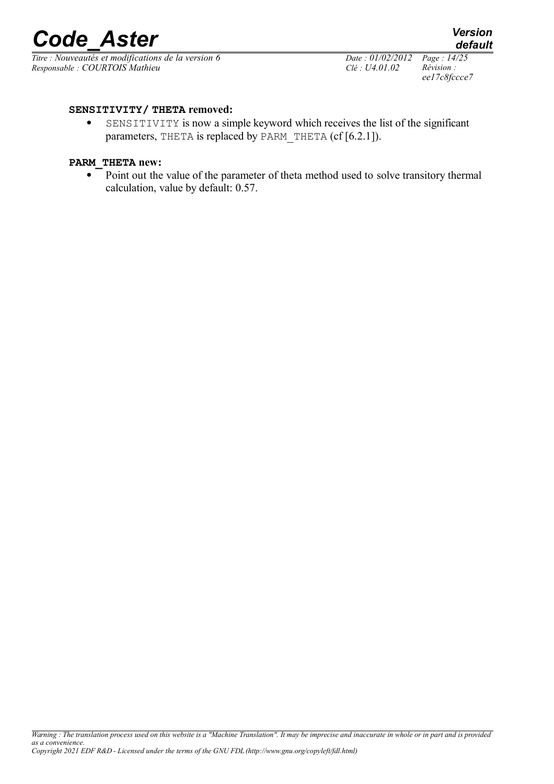*Titre : Nouveautés et modifications de la version 6 Date : 01/02/2012 Page : 14/25 Responsable : COURTOIS Mathieu Clé : U4.01.02 Révision :* 

*ee17c8fccce7*

*default*

#### **SENSITIVITY/ THETA removed:**

 SENSITIVITY is now a simple keyword which receives the list of the significant parameters, THETA is replaced by PARM THETA (cf [6.2.1]).

#### **PARM\_THETA new:**

• Point out the value of the parameter of theta method used to solve transitory thermal calculation, value by default: 0.57.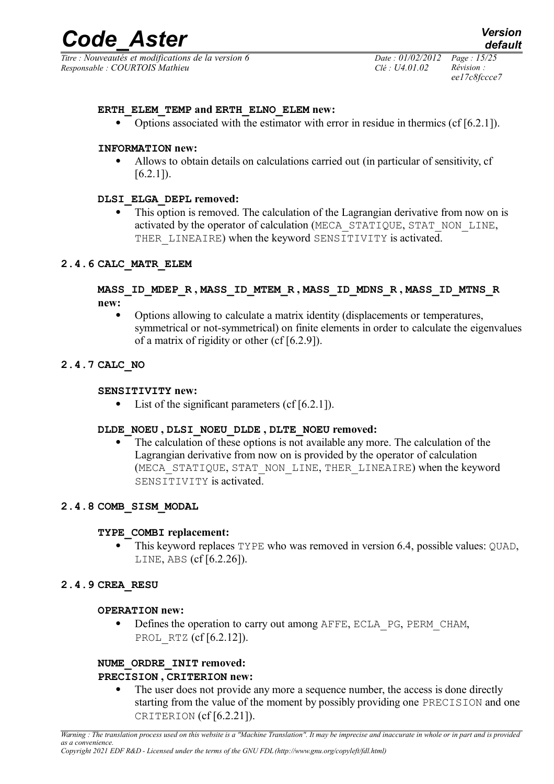*Titre : Nouveautés et modifications de la version 6 Date : 01/02/2012 Page : 15/25 Responsable : COURTOIS Mathieu Clé : U4.01.02 Révision :* 

*ee17c8fccce7*

#### **ERTH\_ELEM\_TEMP and ERTH\_ELNO\_ELEM new:**

• Options associated with the estimator with error in residue in thermics (cf  $[6.2.1]$ ).

#### **INFORMATION new:**

 Allows to obtain details on calculations carried out (in particular of sensitivity, cf  $[6.2.1]$ .

#### **DLSI\_ELGA\_DEPL removed:**

 This option is removed. The calculation of the Lagrangian derivative from now on is activated by the operator of calculation (MECA\_STATIQUE, STAT\_NON\_LINE, THER LINEAIRE) when the keyword SENSITIVITY is activated.

#### **2.4.6 CALC\_MATR\_ELEM**

#### **MASS\_ID\_MDEP\_R , MASS\_ID\_MTEM\_R , MASS\_ID\_MDNS\_R , MASS\_ID\_MTNS\_R new:**

 Options allowing to calculate a matrix identity (displacements or temperatures, symmetrical or not-symmetrical) on finite elements in order to calculate the eigenvalues of a matrix of rigidity or other (cf [6.2.9]).

#### **2.4.7 CALC\_NO**

#### **SENSITIVITY new:**

 $\bullet$  List of the significant parameters (cf [6.2.1]).

#### **DLDE\_NOEU , DLSI\_NOEU\_DLDE , DLTE\_NOEU removed:**

 The calculation of these options is not available any more. The calculation of the Lagrangian derivative from now on is provided by the operator of calculation (MECA STATIQUE, STAT NON LINE, THER LINEAIRE) when the keyword SENSITIVITY is activated.

#### **2.4.8 COMB\_SISM\_MODAL**

#### **TYPE\_COMBI replacement:**

 This keyword replaces TYPE who was removed in version 6.4, possible values: QUAD, LINE, ABS (cf [6.2.26]).

#### **2.4.9 CREA\_RESU**

#### **OPERATION new:**

• Defines the operation to carry out among AFFE, ECLA PG, PERM CHAM, PROL RTZ (cf [6.2.12]).

#### **NUME\_ORDRE\_INIT removed:**

#### **PRECISION , CRITERION new:**

 The user does not provide any more a sequence number, the access is done directly starting from the value of the moment by possibly providing one PRECISION and one CRITERION (cf [6.2.21]).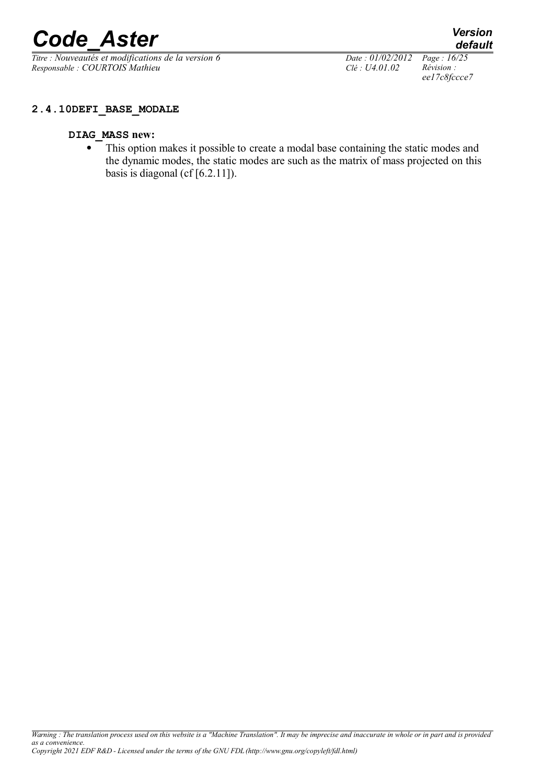*Titre : Nouveautés et modifications de la version 6 Date : 01/02/2012 Page : 16/25 Responsable : COURTOIS Mathieu Clé : U4.01.02 Révision :* 

*ee17c8fccce7*

*default*

#### **DIAG\_MASS new:**

• This option makes it possible to create a modal base containing the static modes and the dynamic modes, the static modes are such as the matrix of mass projected on this basis is diagonal (cf  $[6.2.11]$ ).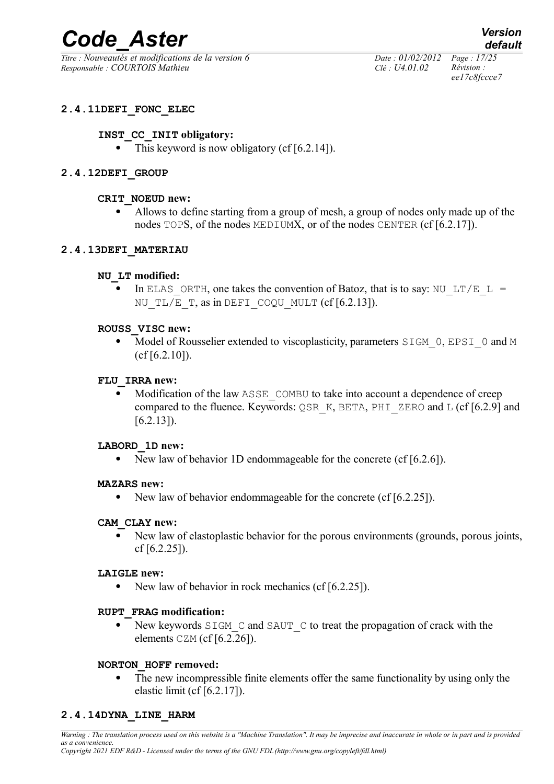*Titre : Nouveautés et modifications de la version 6 Date : 01/02/2012 Page : 17/25 Responsable : COURTOIS Mathieu Clé : U4.01.02 Révision :* 

*ee17c8fccce7*

#### **2.4.11DEFI\_FONC\_ELEC**

#### **INST\_CC\_INIT obligatory:**

 $\bullet$  This keyword is now obligatory (cf [6.2.14]).

#### **2.4.12DEFI\_GROUP**

#### **CRIT\_NOEUD new:**

 Allows to define starting from a group of mesh, a group of nodes only made up of the nodes TOPS, of the nodes MEDIUMX, or of the nodes CENTER (cf [6.2.17]).

#### **2.4.13DEFI\_MATERIAU**

#### **NU\_LT modified:**

In ELAS ORTH, one takes the convention of Batoz, that is to say: NU LT/E L = NU TL/E T, as in DEFI COQU MULT  $(cf [6.2.13])$ .

#### **ROUSS\_VISC new:**

• Model of Rousselier extended to viscoplasticity, parameters  $SIGM$  0, EPSI 0 and M  $(cf[6.2.10])$ .

#### **FLU\_IRRA new:**

• Modification of the law ASSE COMBU to take into account a dependence of creep compared to the fluence. Keywords:  $\Diamond$ SR K, BETA, PHI ZERO and L (cf [6.2.9] and  $[6.2.13]$ .

#### **LABORD\_1D new:**

• New law of behavior 1D endommageable for the concrete (cf [6.2.6]).

#### **MAZARS new:**

• New law of behavior endommageable for the concrete (cf [6.2.25]).

#### **CAM\_CLAY new:**

 New law of elastoplastic behavior for the porous environments (grounds, porous joints, cf  $[6.2.25]$ .

#### **LAIGLE new:**

• New law of behavior in rock mechanics (cf  $[6.2.25]$ ).

#### **RUPT\_FRAG modification:**

New keywords  $SIGM$  C and  $SAUT$  C to treat the propagation of crack with the elements  $CZM$  (cf [6.2.26]).

#### **NORTON\_HOFF removed:**

 The new incompressible finite elements offer the same functionality by using only the elastic limit (cf [6.2.17]).

#### **2.4.14DYNA\_LINE\_HARM**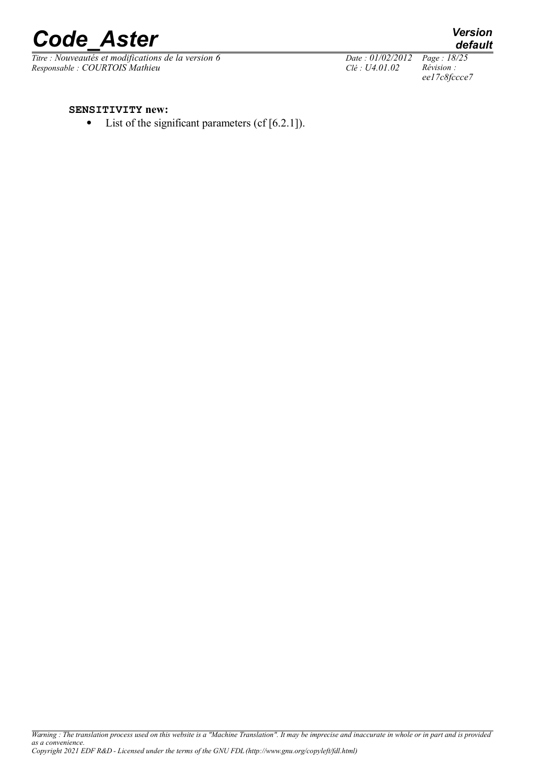

*Titre : Nouveautés et modifications de la version 6 Date : 01/02/2012 Page : 18/25*<br> *Responsable : COURTOIS Mathieu Clé : U4.01.02 Révision : Responsable : COURTOIS Mathieu Clé : U4.01.02 Révision :* 

*default*

*ee17c8fccce7*

#### **SENSITIVITY new:**

• List of the significant parameters (cf [6.2.1]).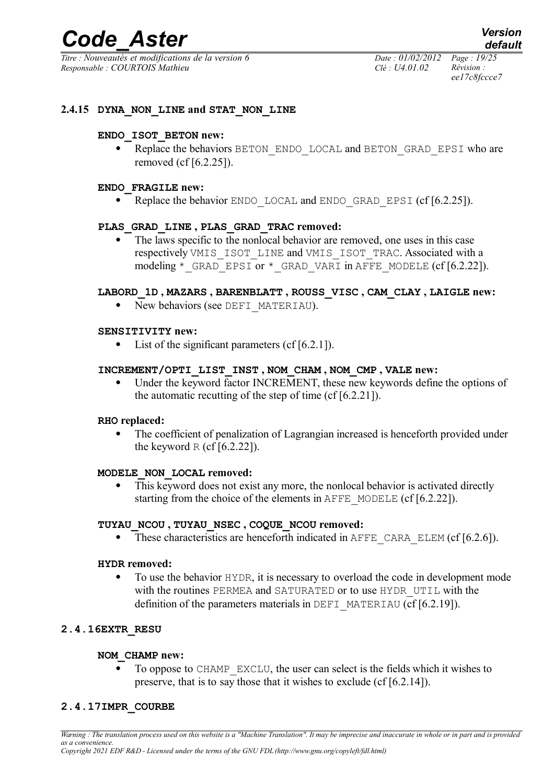*Titre : Nouveautés et modifications de la version 6 Date : 01/02/2012 Page : 19/25 Responsable : COURTOIS Mathieu Clé : U4.01.02 Révision :* 

*ee17c8fccce7*

#### **2.4.15 DYNA\_NON\_LINE and STAT\_NON\_LINE**

#### **ENDO\_ISOT\_BETON new:**

• Replace the behaviors BETON ENDO LOCAL and BETON GRAD EPSI who are removed (cf [6.2.25]).

#### **ENDO\_FRAGILE new:**

• Replace the behavior ENDO LOCAL and ENDO GRAD EPSI  $(cf [6.2.25])$ .

#### **PLAS\_GRAD\_LINE , PLAS\_GRAD\_TRAC removed:**

 The laws specific to the nonlocal behavior are removed, one uses in this case respectively VMIS\_ISOT\_LINE and VMIS\_ISOT\_TRAC. Associated with a modeling \* GRAD EPSI or \* GRAD VARI in AFFE MODELE (cf  $[6.2.22]$ ).

#### **LABORD\_1D , MAZARS , BARENBLATT , ROUSS\_VISC , CAM\_CLAY , LAIGLE new:**

• New behaviors (see DEFI\_MATERIAU).

#### **SENSITIVITY new:**

• List of the significant parameters  $(cf[6.2.1])$ .

#### **INCREMENT/OPTI\_LIST\_INST , NOM\_CHAM , NOM\_CMP , VALE new:**

 Under the keyword factor INCREMENT, these new keywords define the options of the automatic recutting of the step of time (cf [6.2.21]).

#### **RHO replaced:**

 The coefficient of penalization of Lagrangian increased is henceforth provided under the keyword R (cf [6.2.22]).

#### **MODELE\_NON\_LOCAL removed:**

 This keyword does not exist any more, the nonlocal behavior is activated directly starting from the choice of the elements in AFFE\_MODELE (cf [6.2.22]).

#### **TUYAU\_NCOU , TUYAU\_NSEC , COQUE\_NCOU removed:**

• These characteristics are henceforth indicated in  $A$ FFE CARA ELEM (cf [6.2.6]).

#### **HYDR removed:**

 To use the behavior HYDR, it is necessary to overload the code in development mode with the routines PERMEA and SATURATED or to use HYDR\_UTIL with the definition of the parameters materials in DEFI\_MATERIAU (cf [6.2.19]).

#### **2.4.16EXTR\_RESU**

#### **NOM\_CHAMP new:**

 To oppose to CHAMP\_EXCLU, the user can select is the fields which it wishes to preserve, that is to say those that it wishes to exclude (cf [6.2.14]).

#### **2.4.17IMPR\_COURBE**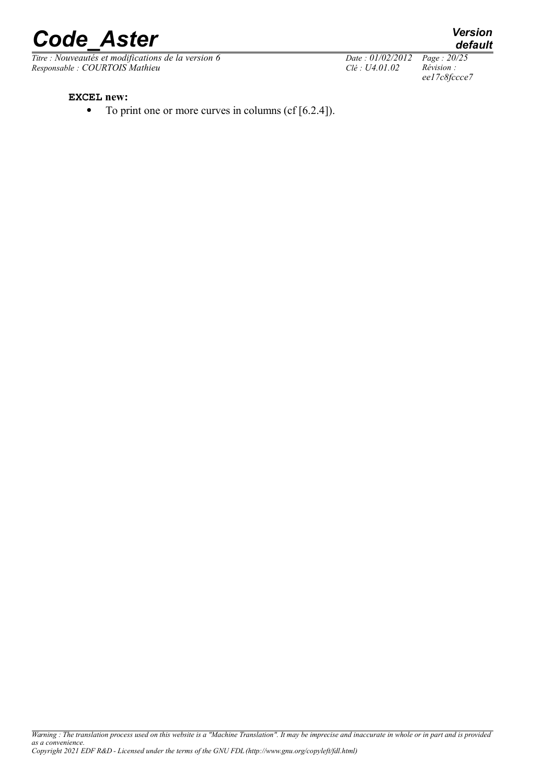# *Code Aster*<br> *Code asternations de la version 6*<br> *Code 20/25*<br> *Code: 01/02/2012* Page: 20/25

*Titre : Nouveautés et modifications de la version 6 Date : 01/02/2012 Page : 20/*<br> *Responsable : COURTOIS Mathieu Clé : U4.01.02 Révision : Responsable : COURTOIS Mathieu Clé : U4.01.02* 

*ee17c8fccce7*

*default*

**EXCEL new:**

 $\bullet$  To print one or more curves in columns (cf [6.2.4]).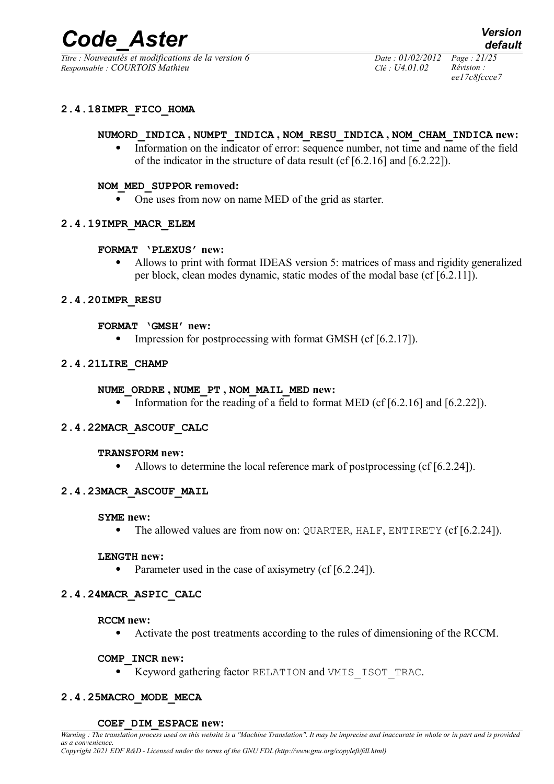*Titre : Nouveautés et modifications de la version 6 Date : 01/02/2012 Page : 21/25 Responsable : COURTOIS Mathieu Clé : U4.01.02 Révision :* 

*ee17c8fccce7*

#### **2.4.18IMPR\_FICO\_HOMA**

#### **NUMORD\_INDICA , NUMPT\_INDICA , NOM\_RESU\_INDICA , NOM\_CHAM\_INDICA new:**

 Information on the indicator of error: sequence number, not time and name of the field of the indicator in the structure of data result (cf [6.2.16] and [6.2.22]).

#### **NOM\_MED\_SUPPOR removed:**

• One uses from now on name MED of the grid as starter.

#### **2.4.19IMPR\_MACR\_ELEM**

#### **FORMAT 'PLEXUS' new:**

 Allows to print with format IDEAS version 5: matrices of mass and rigidity generalized per block, clean modes dynamic, static modes of the modal base (cf [6.2.11]).

#### **2.4.20IMPR\_RESU**

#### **FORMAT 'GMSH' new:**

• Impression for postprocessing with format GMSH (cf  $[6.2.17]$ ).

#### **2.4.21LIRE\_CHAMP**

#### **NUME\_ORDRE , NUME\_PT , NOM\_MAIL\_MED new:**

• Information for the reading of a field to format MED (cf  $[6.2.16]$  and  $[6.2.22]$ ).

#### **2.4.22MACR\_ASCOUF\_CALC**

#### **TRANSFORM new:**

• Allows to determine the local reference mark of postprocessing (cf [6.2.24]).

#### **2.4.23MACR\_ASCOUF\_MAIL**

#### **SYME new:**

• The allowed values are from now on: QUARTER, HALF, ENTIRETY (cf [6.2.24]).

#### **LENGTH new:**

• Parameter used in the case of axisymetry  $(cf [6.2.24])$ .

#### **2.4.24MACR\_ASPIC\_CALC**

#### **RCCM new:**

Activate the post treatments according to the rules of dimensioning of the RCCM.

#### **COMP\_INCR new:**

Keyword gathering factor RELATION and VMIS\_ISOT\_TRAC.

#### **2.4.25MACRO\_MODE\_MECA**

#### **COEF\_DIM\_ESPACE new:**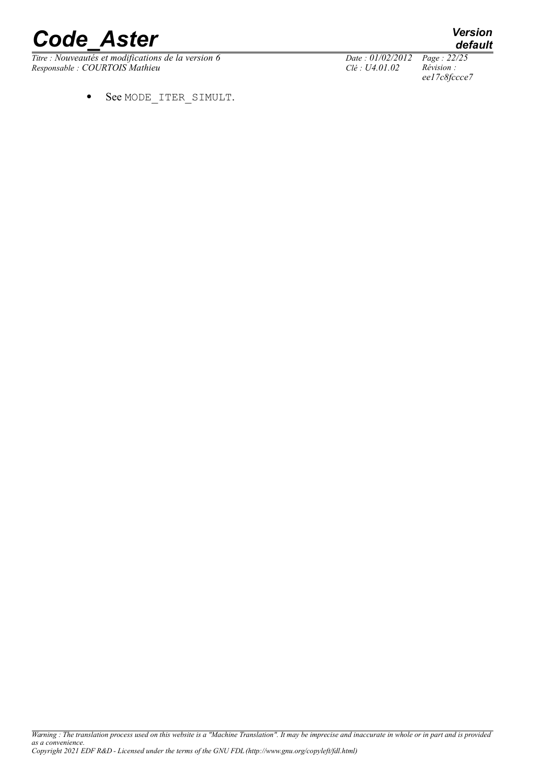# **Code Aster** *Version*<br> *Titre* : *Nouveautés et modifications de la version* 6 *Date* : 01/02/2012 Page : 22/25

*Titre : Nouveautés et modifications de la version 6 Date : 01/02/2012 Page : 22/35*<br> *Responsable : COURTOIS Mathieu Clé : U4.01.02 Révision : Responsable : COURTOIS Mathieu Clé : U4.01.02* 

See MODE\_ITER\_SIMULT.

*default*

*ee17c8fccce7*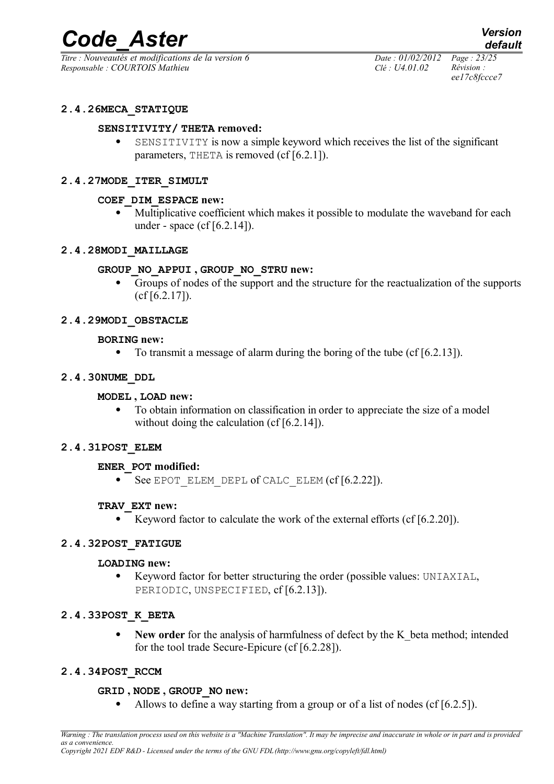*Titre : Nouveautés et modifications de la version 6 Date : 01/02/2012 Page : 23/25 Responsable : COURTOIS Mathieu Clé : U4.01.02 Révision :* 

*ee17c8fccce7*

#### **2.4.26MECA\_STATIQUE**

#### **SENSITIVITY/ THETA removed:**

 SENSITIVITY is now a simple keyword which receives the list of the significant parameters, THETA is removed (cf [6.2.1]).

#### **2.4.27MODE\_ITER\_SIMULT**

#### **COEF\_DIM\_ESPACE new:**

 Multiplicative coefficient which makes it possible to modulate the waveband for each under - space (cf [6.2.14]).

#### **2.4.28MODI\_MAILLAGE**

#### **GROUP\_NO\_APPUI , GROUP\_NO\_STRU new:**

 Groups of nodes of the support and the structure for the reactualization of the supports (cf [6.2.17]).

#### **2.4.29MODI\_OBSTACLE**

#### **BORING new:**

 $\bullet$  To transmit a message of alarm during the boring of the tube (cf [6.2.13]).

#### **2.4.30NUME\_DDL**

#### **MODEL , LOAD new:**

 To obtain information on classification in order to appreciate the size of a model without doing the calculation (cf [6.2.14]).

#### **2.4.31POST\_ELEM**

#### **ENER\_POT modified:**

See EPOT\_ELEM\_DEPL of CALC\_ELEM (cf [6.2.22]).

#### **TRAV\_EXT new:**

Exercise Keyword factor to calculate the work of the external efforts (cf  $[6.2.20]$ ).

#### **2.4.32POST\_FATIGUE**

#### **LOADING new:**

 Keyword factor for better structuring the order (possible values: UNIAXIAL, PERIODIC, UNSPECIFIED, cf [6.2.13]).

#### **2.4.33POST\_K\_BETA**

• New order for the analysis of harmfulness of defect by the K beta method; intended for the tool trade Secure-Epicure (cf [6.2.28]).

#### **2.4.34POST\_RCCM**

#### **GRID , NODE , GROUP\_NO new:**

Allows to define a way starting from a group or of a list of nodes (cf [6.2.5]).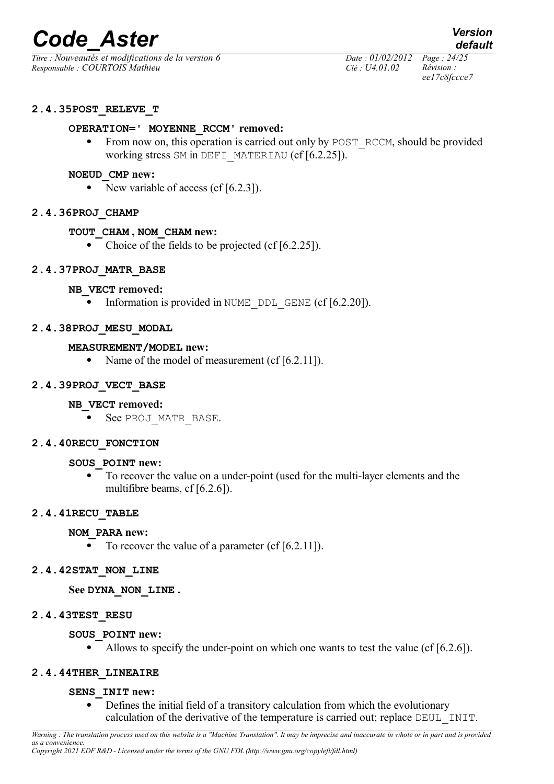*Titre : Nouveautés et modifications de la version 6 Date : 01/02/2012 Page : 24/25 Responsable : COURTOIS Mathieu Clé : U4.01.02 Révision :* 

*ee17c8fccce7*

#### **2.4.35POST\_RELEVE\_T**

#### **OPERATION=' MOYENNE\_RCCM' removed:**

• From now on, this operation is carried out only by POST\_RCCM, should be provided working stress SM in DEFI\_MATERIAU (cf [6.2.25]).

#### **NOEUD\_CMP new:**

• New variable of access (cf  $[6.2.3]$ ).

#### **2.4.36PROJ\_CHAMP**

#### **TOUT\_CHAM , NOM\_CHAM new:**

• Choice of the fields to be projected (cf [6.2.25]).

#### **2.4.37PROJ\_MATR\_BASE**

#### **NB\_VECT removed:**

• Information is provided in NUME DDL GENE (cf  $[6.2.20]$ ).

#### **2.4.38PROJ\_MESU\_MODAL**

#### **MEASUREMENT/MODEL new:**

• Name of the model of measurement  $(cf[6.2.11])$ .

#### **2.4.39PROJ\_VECT\_BASE**

#### **NB\_VECT removed:**

• See PROJ MATR BASE.

#### **2.4.40RECU\_FONCTION**

#### **SOUS\_POINT new:**

 To recover the value on a under-point (used for the multi-layer elements and the multifibre beams, cf [6.2.6]).

#### **2.4.41RECU\_TABLE**

#### **NOM\_PARA new:**

 $\overline{\bullet}$  To recover the value of a parameter (cf [6.2.11]).

#### **2.4.42STAT\_NON\_LINE**

#### **See DYNA\_NON\_LINE .**

#### **2.4.43TEST\_RESU**

#### **SOUS\_POINT new:**

Allows to specify the under-point on which one wants to test the value (cf [6.2.6]).

#### **2.4.44THER\_LINEAIRE**

#### **SENS\_INIT new:**

 Defines the initial field of a transitory calculation from which the evolutionary calculation of the derivative of the temperature is carried out; replace DEUL\_INIT.